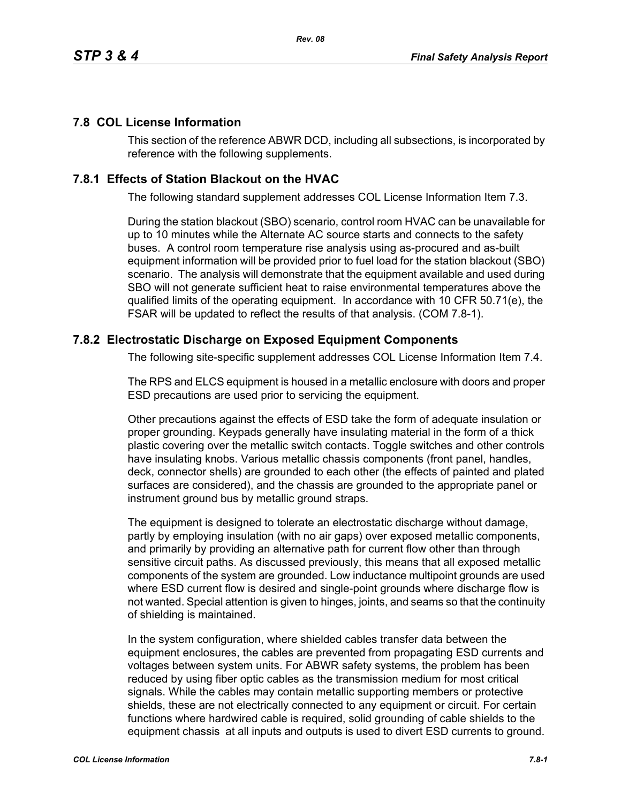## **7.8 COL License Information**

This section of the reference ABWR DCD, including all subsections, is incorporated by reference with the following supplements.

## **7.8.1 Effects of Station Blackout on the HVAC**

The following standard supplement addresses COL License Information Item 7.3.

During the station blackout (SBO) scenario, control room HVAC can be unavailable for up to 10 minutes while the Alternate AC source starts and connects to the safety buses. A control room temperature rise analysis using as-procured and as-built equipment information will be provided prior to fuel load for the station blackout (SBO) scenario. The analysis will demonstrate that the equipment available and used during SBO will not generate sufficient heat to raise environmental temperatures above the qualified limits of the operating equipment. In accordance with 10 CFR 50.71(e), the FSAR will be updated to reflect the results of that analysis. (COM 7.8-1).

## **7.8.2 Electrostatic Discharge on Exposed Equipment Components**

The following site-specific supplement addresses COL License Information Item 7.4.

The RPS and ELCS equipment is housed in a metallic enclosure with doors and proper ESD precautions are used prior to servicing the equipment.

Other precautions against the effects of ESD take the form of adequate insulation or proper grounding. Keypads generally have insulating material in the form of a thick plastic covering over the metallic switch contacts. Toggle switches and other controls have insulating knobs. Various metallic chassis components (front panel, handles, deck, connector shells) are grounded to each other (the effects of painted and plated surfaces are considered), and the chassis are grounded to the appropriate panel or instrument ground bus by metallic ground straps.

The equipment is designed to tolerate an electrostatic discharge without damage, partly by employing insulation (with no air gaps) over exposed metallic components, and primarily by providing an alternative path for current flow other than through sensitive circuit paths. As discussed previously, this means that all exposed metallic components of the system are grounded. Low inductance multipoint grounds are used where ESD current flow is desired and single-point grounds where discharge flow is not wanted. Special attention is given to hinges, joints, and seams so that the continuity of shielding is maintained.

In the system configuration, where shielded cables transfer data between the equipment enclosures, the cables are prevented from propagating ESD currents and voltages between system units. For ABWR safety systems, the problem has been reduced by using fiber optic cables as the transmission medium for most critical signals. While the cables may contain metallic supporting members or protective shields, these are not electrically connected to any equipment or circuit. For certain functions where hardwired cable is required, solid grounding of cable shields to the equipment chassis at all inputs and outputs is used to divert ESD currents to ground.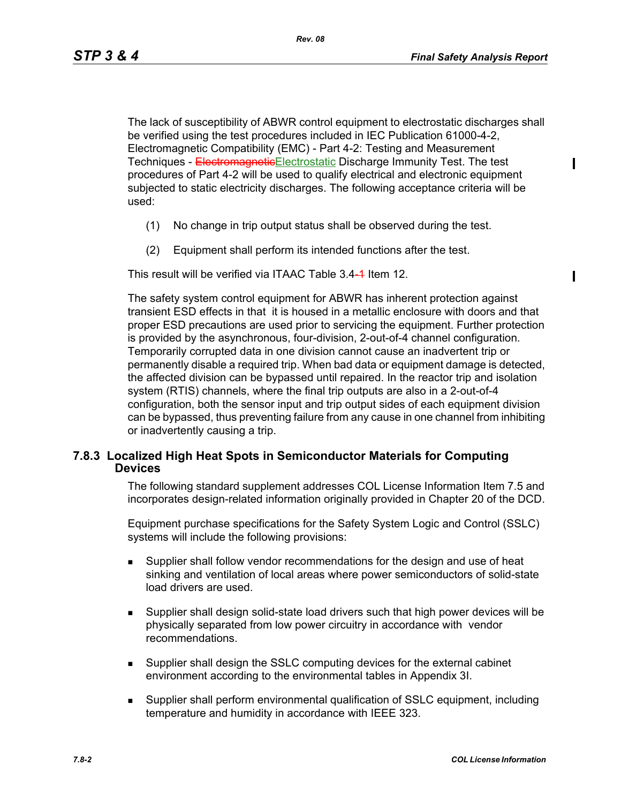The lack of susceptibility of ABWR control equipment to electrostatic discharges shall be verified using the test procedures included in IEC Publication 61000-4-2, Electromagnetic Compatibility (EMC) - Part 4-2: Testing and Measurement Techniques - Electromagnetic Electrostatic Discharge Immunity Test. The test procedures of Part 4-2 will be used to qualify electrical and electronic equipment subjected to static electricity discharges. The following acceptance criteria will be used:

- (1) No change in trip output status shall be observed during the test.
- (2) Equipment shall perform its intended functions after the test.

This result will be verified via ITAAC Table 3.4-1 Item 12.

The safety system control equipment for ABWR has inherent protection against transient ESD effects in that it is housed in a metallic enclosure with doors and that proper ESD precautions are used prior to servicing the equipment. Further protection is provided by the asynchronous, four-division, 2-out-of-4 channel configuration. Temporarily corrupted data in one division cannot cause an inadvertent trip or permanently disable a required trip. When bad data or equipment damage is detected, the affected division can be bypassed until repaired. In the reactor trip and isolation system (RTIS) channels, where the final trip outputs are also in a 2-out-of-4 configuration, both the sensor input and trip output sides of each equipment division can be bypassed, thus preventing failure from any cause in one channel from inhibiting or inadvertently causing a trip.

## **7.8.3 Localized High Heat Spots in Semiconductor Materials for Computing Devices**

The following standard supplement addresses COL License Information Item 7.5 and incorporates design-related information originally provided in Chapter 20 of the DCD.

Equipment purchase specifications for the Safety System Logic and Control (SSLC) systems will include the following provisions:

- **Supplier shall follow vendor recommendations for the design and use of heat** sinking and ventilation of local areas where power semiconductors of solid-state load drivers are used.
- Supplier shall design solid-state load drivers such that high power devices will be physically separated from low power circuitry in accordance with vendor recommendations.
- Supplier shall design the SSLC computing devices for the external cabinet environment according to the environmental tables in Appendix 3I.
- Supplier shall perform environmental qualification of SSLC equipment, including temperature and humidity in accordance with IEEE 323.